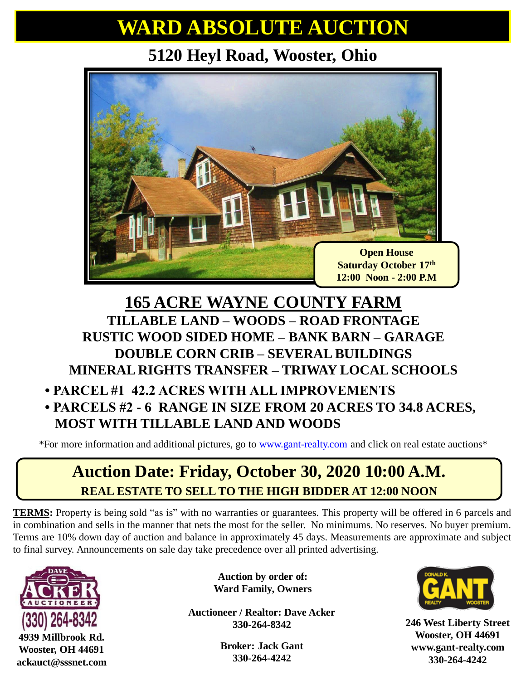# **WARD ABSOLUTE AUCTION**

### **5120 Heyl Road, Wooster, Ohio**



### **165 ACRE WAYNE COUNTY FARM TILLABLE LAND – WOODS – ROAD FRONTAGE RUSTIC WOOD SIDED HOME – BANK BARN – GARAGE DOUBLE CORN CRIB – SEVERAL BUILDINGS MINERAL RIGHTS TRANSFER – TRIWAY LOCAL SCHOOLS**

#### **• PARCEL #1 42.2 ACRES WITH ALL IMPROVEMENTS • PARCELS #2 - 6 RANGE IN SIZE FROM 20 ACRES TO 34.8 ACRES, MOST WITH TILLABLE LAND AND WOODS**

\*For more information and additional pictures, go to [www.gant-realty.com](http://www.gant-realty.com/) and click on real estate auctions\*

## **Auction Date: Friday, October 30, 2020 10:00 A.M. REAL ESTATE TO SELL TO THE HIGH BIDDER AT 12:00 NOON**

**TERMS:** Property is being sold "as is" with no warranties or guarantees. This property will be offered in 6 parcels and in combination and sells in the manner that nets the most for the seller. No minimums. No reserves. No buyer premium. Terms are 10% down day of auction and balance in approximately 45 days. Measurements are approximate and subject to final survey. Announcements on sale day take precedence over all printed advertising.



**4939 Millbrook Rd. Wooster, OH 44691 ackauct@sssnet.com**

**Auction by order of: Ward Family, Owners**

**Auctioneer / Realtor: Dave Acker 330-264-8342**

> **Broker: Jack Gant 330-264-4242**



**246 West Liberty Street Wooster, OH 44691 www.gant-realty.com 330-264-4242**